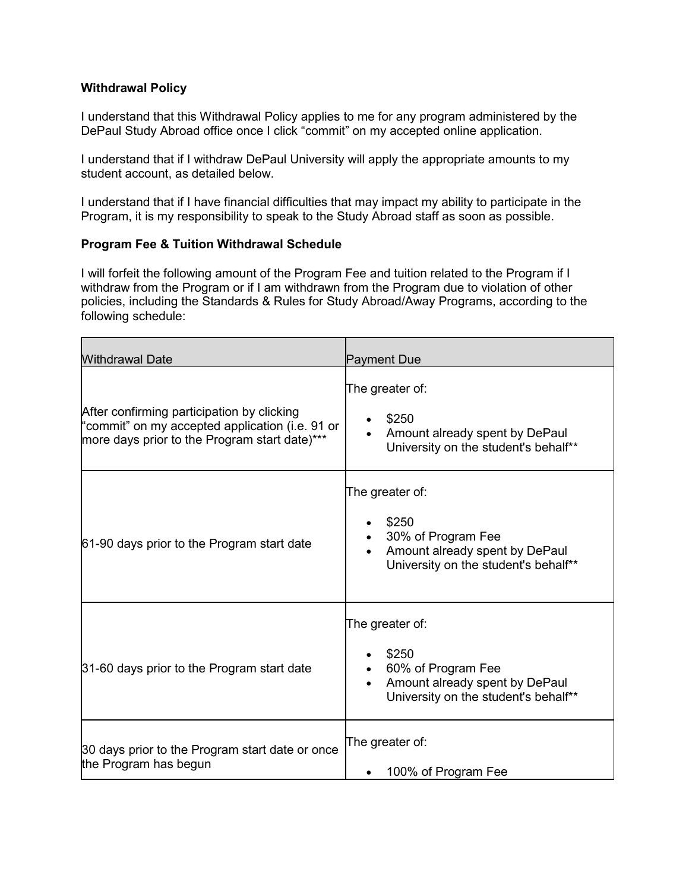## **Withdrawal Policy**

I understand that this Withdrawal Policy applies to me for any program administered by the DePaul Study Abroad office once I click "commit" on my accepted online application.

I understand that if I withdraw DePaul University will apply the appropriate amounts to my student account, as detailed below.

I understand that if I have financial difficulties that may impact my ability to participate in the Program, it is my responsibility to speak to the Study Abroad staff as soon as possible.

## **Program Fee & Tuition Withdrawal Schedule**

I will forfeit the following amount of the Program Fee and tuition related to the Program if I withdraw from the Program or if I am withdrawn from the Program due to violation of other policies, including the Standards & Rules for Study Abroad/Away Programs, according to the following schedule:

| <b>Withdrawal Date</b>                                                                                                                         | <b>Payment Due</b>                                                                                                                    |
|------------------------------------------------------------------------------------------------------------------------------------------------|---------------------------------------------------------------------------------------------------------------------------------------|
| After confirming participation by clicking<br>"commit" on my accepted application (i.e. 91 or<br>more days prior to the Program start date)*** | The greater of:<br>\$250<br>Amount already spent by DePaul<br>University on the student's behalf**                                    |
| 61-90 days prior to the Program start date                                                                                                     | The greater of:<br>\$250<br>30% of Program Fee<br>Amount already spent by DePaul<br>University on the student's behalf**              |
| 31-60 days prior to the Program start date                                                                                                     | The greater of:<br>\$250<br>60% of Program Fee<br>Amount already spent by DePaul<br>$\bullet$<br>University on the student's behalf** |
| 30 days prior to the Program start date or once<br>the Program has begun                                                                       | The greater of:<br>100% of Program Fee                                                                                                |